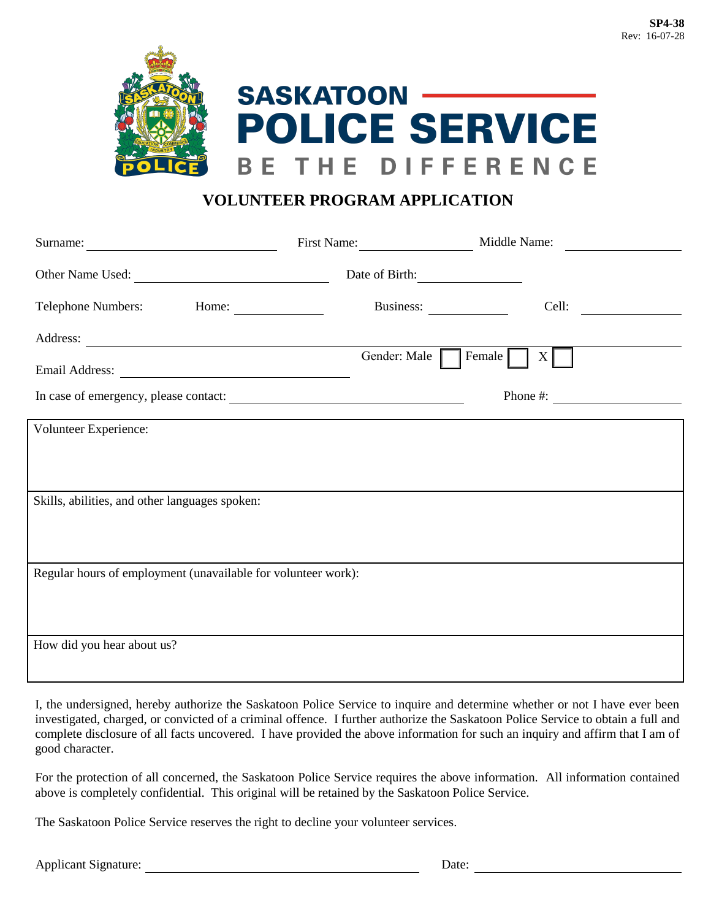

## **VOLUNTEER PROGRAM APPLICATION**

|                                                                                                                                                                                                                                |                     | First Name: Middle Name: |
|--------------------------------------------------------------------------------------------------------------------------------------------------------------------------------------------------------------------------------|---------------------|--------------------------|
|                                                                                                                                                                                                                                | Date of Birth:      |                          |
|                                                                                                                                                                                                                                |                     | Cell:<br>Business:       |
| Address: 2008. Address: 2008. Address: 2008. Address: 2008. Address: 2008. Address: 2008. Address: 2008. Address: 2008. Address: 2008. Address: 2008. Address: 2008. Address: 2008. Address: 2008. Address: 2008. Address: 200 | Gender: Male Female | $X \vert$                |
| In case of emergency, please contact:                                                                                                                                                                                          |                     | Phone #: $\qquad \qquad$ |
| Volunteer Experience:                                                                                                                                                                                                          |                     |                          |
|                                                                                                                                                                                                                                |                     |                          |
| Skills, abilities, and other languages spoken:                                                                                                                                                                                 |                     |                          |
| Regular hours of employment (unavailable for volunteer work):                                                                                                                                                                  |                     |                          |
|                                                                                                                                                                                                                                |                     |                          |
| How did you hear about us?                                                                                                                                                                                                     |                     |                          |
|                                                                                                                                                                                                                                |                     |                          |

I, the undersigned, hereby authorize the Saskatoon Police Service to inquire and determine whether or not I have ever been investigated, charged, or convicted of a criminal offence. I further authorize the Saskatoon Police Service to obtain a full and complete disclosure of all facts uncovered. I have provided the above information for such an inquiry and affirm that I am of good character.

For the protection of all concerned, the Saskatoon Police Service requires the above information. All information contained above is completely confidential. This original will be retained by the Saskatoon Police Service.

The Saskatoon Police Service reserves the right to decline your volunteer services.